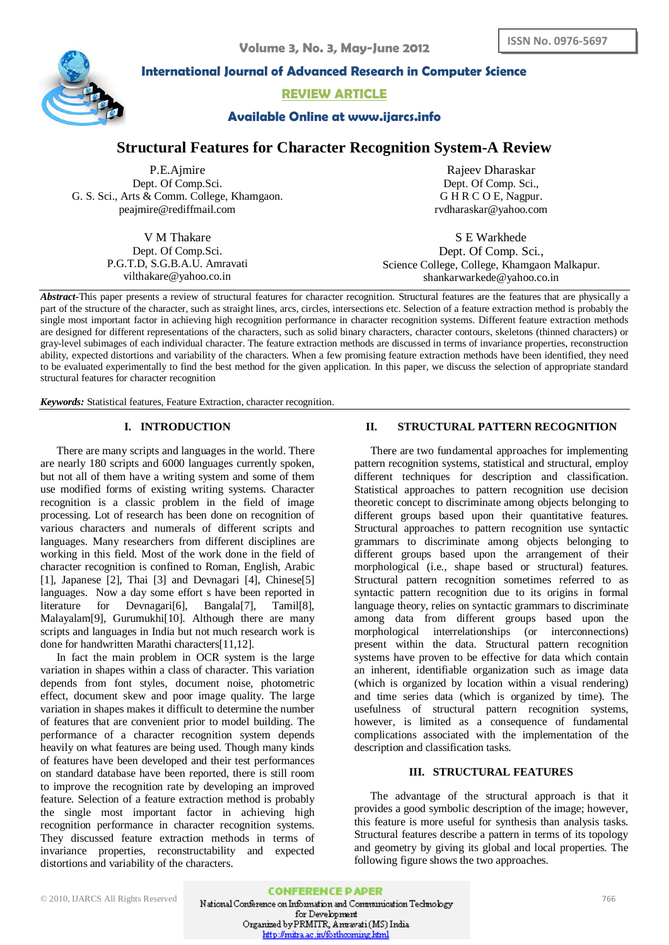

**International Journal of Advanced Research in Computer Science**

**REVIEW ARTICLE**

# **Available Online at www.ijarcs.info**

# **Structural Features for Character Recognition System-A Review**

P.E.Ajmire Dept. Of Comp.Sci. G. S. Sci., Arts & Comm. College, Khamgaon. [peajmire@rediffmail.com](mailto:peajmire@rediffmail.com)

> V M Thakare Dept. Of Comp.Sci. P.G.T.D, S.G.B.A.U. Amravati vilthakare@yahoo.co.in

Rajeev Dharaskar Dept. Of Comp. Sci., G H R C O E, Nagpur. [rvdharaskar@yahoo.com](mailto:rvdharaskar@yahoo.com)

S E Warkhede Dept. Of Comp. Sci., Science College, College, Khamgaon Malkapur. [shankarwarkede@yahoo.co.in](mailto:shankarwarkede@yahoo.co.in)

*Abstract***-**This paper presents a review of structural features for character recognition. Structural features are the features that are physically a part of the structure of the character, such as straight lines, arcs, circles, intersections etc. Selection of a feature extraction method is probably the single most important factor in achieving high recognition performance in character recognition systems. Different feature extraction methods are designed for different representations of the characters, such as solid binary characters, character contours, skeletons (thinned characters) or gray-level subimages of each individual character. The feature extraction methods are discussed in terms of invariance properties, reconstruction ability, expected distortions and variability of the characters. When a few promising feature extraction methods have been identified, they need to be evaluated experimentally to find the best method for the given application. In this paper, we discuss the selection of appropriate standard structural features for character recognition

*Keywords:* Statistical features, Feature Extraction, character recognition.

## **I. INTRODUCTION**

There are many scripts and languages in the world. There are nearly 180 scripts and 6000 languages currently spoken, but not all of them have a writing system and some of them use modified forms of existing writing systems. Character recognition is a classic problem in the field of image processing. Lot of research has been done on recognition of various characters and numerals of different scripts and languages. Many researchers from different disciplines are working in this field. Most of the work done in the field of character recognition is confined to Roman, English, Arabic [1], Japanese [2], Thai [3] and Devnagari [4], Chinese[5] languages. Now a day some effort s have been reported in literature for Devnagari[6], Bangala[7], Tamil[8], Malayalam[9], Gurumukhi[10]. Although there are many scripts and languages in India but not much research work is done for handwritten Marathi characters[11,12].

In fact the main problem in OCR system is the large variation in shapes within a class of character. This variation depends from font styles, document noise, photometric effect, document skew and poor image quality. The large variation in shapes makes it difficult to determine the number of features that are convenient prior to model building. The performance of a character recognition system depends heavily on what features are being used. Though many kinds of features have been developed and their test performances on standard database have been reported, there is still room to improve the recognition rate by developing an improved feature. Selection of a feature extraction method is probably the single most important factor in achieving high recognition performance in character recognition systems. They discussed feature extraction methods in terms of invariance properties, reconstructability and expected distortions and variability of the characters.

## **II. STRUCTURAL PATTERN RECOGNITION**

There are two fundamental approaches for implementing pattern recognition systems, statistical and structural, employ different techniques for description and classification. Statistical approaches to pattern recognition use decision theoretic concept to discriminate among objects belonging to different groups based upon their quantitative features. Structural approaches to pattern recognition use syntactic grammars to discriminate among objects belonging to different groups based upon the arrangement of their morphological (i.e., shape based or structural) features. Structural pattern recognition sometimes referred to as syntactic pattern recognition due to its origins in formal language theory, relies on syntactic grammars to discriminate among data from different groups based upon the morphological interrelationships (or interconnections) present within the data. Structural pattern recognition systems have proven to be effective for data which contain an inherent, identifiable organization such as image data (which is organized by location within a visual rendering) and time series data (which is organized by time). The usefulness of structural pattern recognition systems, however, is limited as a consequence of fundamental complications associated with the implementation of the description and classification tasks.

### **III. STRUCTURAL FEATURES**

The advantage of the structural approach is that it provides a good symbolic description of the image; however, this feature is more useful for synthesis than analysis tasks. Structural features describe a pattern in terms of its topology and geometry by giving its global and local properties. The following figure shows the two approaches.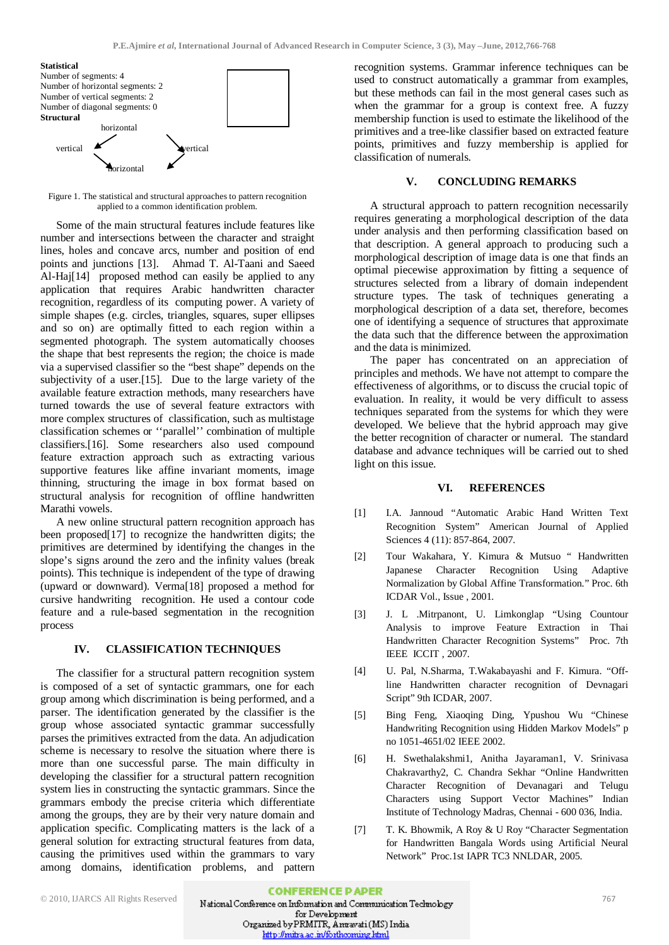#### **Statistical**



Figure 1. The statistical and structural approaches to pattern recognition applied to a common identification problem.

Some of the main structural features include features like number and intersections between the character and straight lines, holes and concave arcs, number and position of end points and junctions [13]. Ahmad T. Al-Taani and Saeed Al-Haj[14] proposed method can easily be applied to any application that requires Arabic handwritten character recognition, regardless of its computing power. A variety of simple shapes (e.g. circles, triangles, squares, super ellipses and so on) are optimally fitted to each region within a segmented photograph. The system automatically chooses the shape that best represents the region; the choice is made via a supervised classifier so the "best shape" depends on the subjectivity of a user.[15]. Due to the large variety of the available feature extraction methods, many researchers have turned towards the use of several feature extractors with more complex structures of classification, such as multistage classification schemes or ''parallel'' combination of multiple classifiers.[16]. Some researchers also used compound feature extraction approach such as extracting various supportive features like affine invariant moments, image thinning, structuring the image in box format based on structural analysis for recognition of offline handwritten Marathi vowels.

A new online structural pattern recognition approach has been proposed[17] to recognize the handwritten digits; the primitives are determined by identifying the changes in the slope's signs around the zero and the infinity values (break points). This technique is independent of the type of drawing (upward or downward). Verma[18] proposed a method for cursive handwriting recognition. He used a contour code feature and a rule-based segmentation in the recognition process

#### **IV. CLASSIFICATION TECHNIQUES**

The classifier for a structural pattern recognition system is composed of a set of syntactic grammars, one for each group among which discrimination is being performed, and a parser. The identification generated by the classifier is the group whose associated syntactic grammar successfully parses the primitives extracted from the data. An adjudication scheme is necessary to resolve the situation where there is more than one successful parse. The main difficulty in developing the classifier for a structural pattern recognition system lies in constructing the syntactic grammars. Since the grammars embody the precise criteria which differentiate among the groups, they are by their very nature domain and application specific. Complicating matters is the lack of a general solution for extracting structural features from data, causing the primitives used within the grammars to vary among domains, identification problems, and pattern recognition systems. Grammar inference techniques can be used to construct automatically a grammar from examples, but these methods can fail in the most general cases such as when the grammar for a group is context free. A fuzzy membership function is used to estimate the likelihood of the primitives and a tree-like classifier based on extracted feature points, primitives and fuzzy membership is applied for classification of numerals.

### **V. CONCLUDING REMARKS**

A structural approach to pattern recognition necessarily requires generating a morphological description of the data under analysis and then performing classification based on that description. A general approach to producing such a morphological description of image data is one that finds an optimal piecewise approximation by fitting a sequence of structures selected from a library of domain independent structure types. The task of techniques generating a morphological description of a data set, therefore, becomes one of identifying a sequence of structures that approximate the data such that the difference between the approximation and the data is minimized.

The paper has concentrated on an appreciation of principles and methods. We have not attempt to compare the effectiveness of algorithms, or to discuss the crucial topic of evaluation. In reality, it would be very difficult to assess techniques separated from the systems for which they were developed. We believe that the hybrid approach may give the better recognition of character or numeral. The standard database and advance techniques will be carried out to shed light on this issue.

#### **VI. REFERENCES**

- [1] I.A. Jannoud "Automatic Arabic Hand Written Text Recognition System" American Journal of Applied Sciences 4 (11): 857-864, 2007.
- [2] Tour Wakahara, Y. Kimura & Mutsuo " Handwritten Japanese Character Recognition Using Adaptive Normalization by Global Affine Transformation." Proc. 6th ICDAR Vol., Issue , 2001.
- [3] J. L .Mitrpanont, U. Limkonglap "Using Countour Analysis to improve Feature Extraction in Thai Handwritten Character Recognition Systems" Proc. 7th IEEE ICCIT , 2007.
- [4] U. Pal, N.Sharma, T.Wakabayashi and F. Kimura. "Offline Handwritten character recognition of Devnagari Script" 9th ICDAR, 2007.
- [5] Bing Feng, Xiaoqing Ding, Ypushou Wu "Chinese Handwriting Recognition using Hidden Markov Models" p no 1051-4651/02 IEEE 2002.
- [6] H. Swethalakshmi1, Anitha Jayaraman1, V. Srinivasa Chakravarthy2, C. Chandra Sekhar "Online Handwritten Character Recognition of Devanagari and Telugu Characters using Support Vector Machines" Indian Institute of Technology Madras, Chennai - 600 036, India.
- [7] T. K. Bhowmik, A Roy & U Roy "Character Segmentation for Handwritten Bangala Words using Artificial Neural Network" Proc.1st IAPR TC3 NNLDAR, 2005.